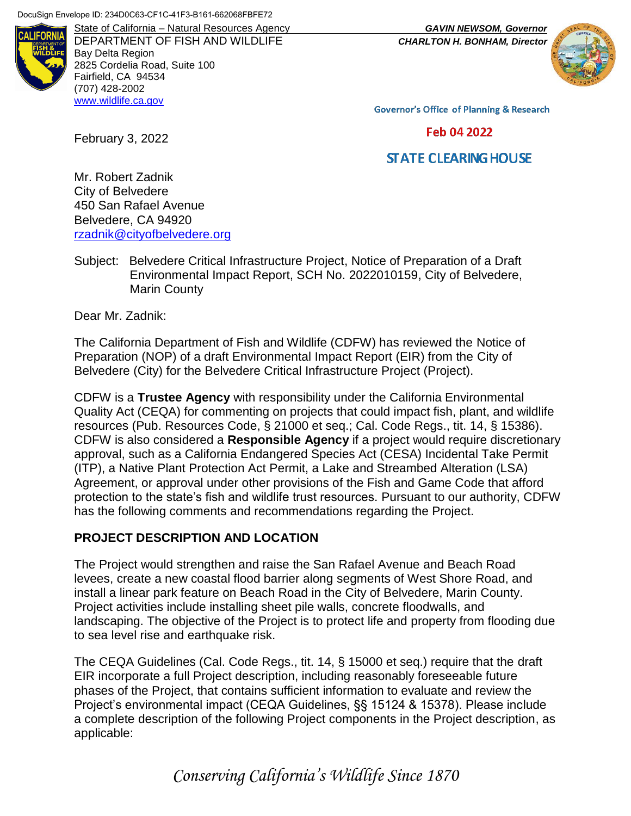

DEPARTMENT OF FISH AND WILDLIFE *CHARLTON H. BONHAM, Director* Bay Delta Region 2825 Cordelia Road, Suite 100 Fairfield, CA 94534 (707) 428-2002 [www.wildlife.ca.gov](http://www.wildlife.ca.gov/)

State of California – Natural Resources Agency *GAVIN NEWSOM, Governor*



**Governor's Office of Planning & Research** 

Feb 04 2022

# **STATE CLEARING HOUSE**

Mr. Robert Zadnik City of Belvedere 450 San Rafael Avenue Belvedere, CA 94920 [rzadnik@cityofbelvedere.org](mailto:envplanning@marincounty.org)

Subject: Belvedere Critical Infrastructure Project, Notice of Preparation of a Draft Environmental Impact Report, SCH No. 2022010159, City of Belvedere, Marin County

Dear Mr. Zadnik:

February 3, 2022

The California Department of Fish and Wildlife (CDFW) has reviewed the Notice of Preparation (NOP) of a draft Environmental Impact Report (EIR) from the City of Belvedere (City) for the Belvedere Critical Infrastructure Project (Project).

CDFW is a **Trustee Agency** with responsibility under the California Environmental Quality Act (CEQA) for commenting on projects that could impact fish, plant, and wildlife resources (Pub. Resources Code, § 21000 et seq.; Cal. Code Regs., tit. 14, § 15386). CDFW is also considered a **Responsible Agency** if a project would require discretionary approval, such as a California Endangered Species Act (CESA) Incidental Take Permit (ITP), a Native Plant Protection Act Permit, a Lake and Streambed Alteration (LSA) Agreement, or approval under other provisions of the Fish and Game Code that afford protection to the state's fish and wildlife trust resources. Pursuant to our authority, CDFW has the following comments and recommendations regarding the Project.

#### **PROJECT DESCRIPTION AND LOCATION**

The Project would strengthen and raise the San Rafael Avenue and Beach Road levees, create a new coastal flood barrier along segments of West Shore Road, and install a linear park feature on Beach Road in the City of Belvedere, Marin County. Project activities include installing sheet pile walls, concrete floodwalls, and landscaping. The objective of the Project is to protect life and property from flooding due to sea level rise and earthquake risk.

The CEQA Guidelines (Cal. Code Regs., tit. 14, § 15000 et seq.) require that the draft EIR incorporate a full Project description, including reasonably foreseeable future phases of the Project, that contains sufficient information to evaluate and review the Project's environmental impact (CEQA Guidelines, §§ 15124 & 15378). Please include a complete description of the following Project components in the Project description, as applicable:

*Conserving California's Wildlife Since 1870*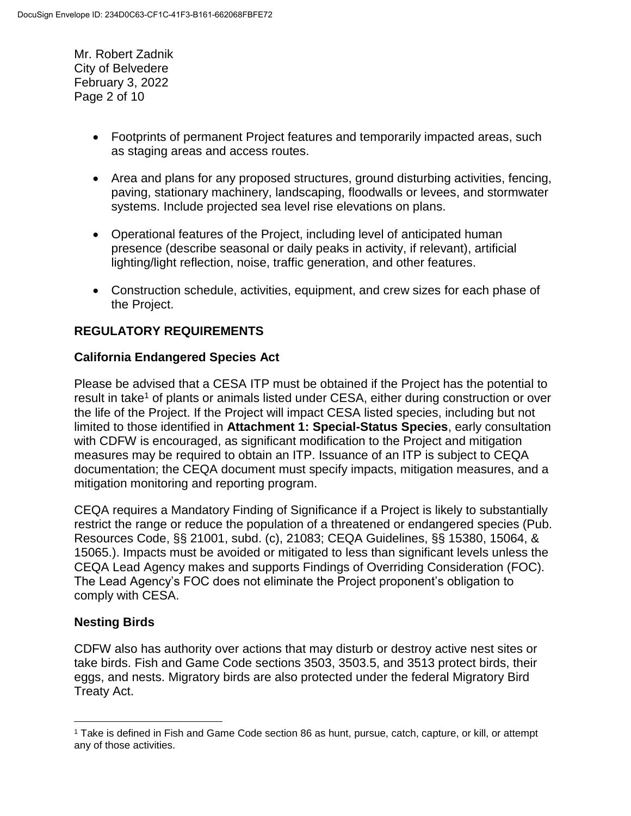Mr. Robert Zadnik City of Belvedere February 3, 2022 Page 2 of 10

- Footprints of permanent Project features and temporarily impacted areas, such as staging areas and access routes.
- Area and plans for any proposed structures, ground disturbing activities, fencing, paving, stationary machinery, landscaping, floodwalls or levees, and stormwater systems. Include projected sea level rise elevations on plans.
- Operational features of the Project, including level of anticipated human presence (describe seasonal or daily peaks in activity, if relevant), artificial lighting/light reflection, noise, traffic generation, and other features.
- Construction schedule, activities, equipment, and crew sizes for each phase of the Project.

# **REGULATORY REQUIREMENTS**

### **California Endangered Species Act**

Please be advised that a CESA ITP must be obtained if the Project has the potential to result in take<sup>1</sup> of plants or animals listed under CESA, either during construction or over the life of the Project. If the Project will impact CESA listed species, including but not limited to those identified in **Attachment 1: Special-Status Species**, early consultation with CDFW is encouraged, as significant modification to the Project and mitigation measures may be required to obtain an ITP. Issuance of an ITP is subject to CEQA documentation; the CEQA document must specify impacts, mitigation measures, and a mitigation monitoring and reporting program.

CEQA requires a Mandatory Finding of Significance if a Project is likely to substantially restrict the range or reduce the population of a threatened or endangered species (Pub. Resources Code, §§ 21001, subd. (c), 21083; CEQA Guidelines, §§ 15380, 15064, & 15065.). Impacts must be avoided or mitigated to less than significant levels unless the CEQA Lead Agency makes and supports Findings of Overriding Consideration (FOC). The Lead Agency's FOC does not eliminate the Project proponent's obligation to comply with CESA.

## **Nesting Birds**

 $\overline{a}$ 

CDFW also has authority over actions that may disturb or destroy active nest sites or take birds. Fish and Game Code sections 3503, 3503.5, and 3513 protect birds, their eggs, and nests. Migratory birds are also protected under the federal Migratory Bird Treaty Act.

<sup>1</sup> Take is defined in Fish and Game Code section 86 as hunt, pursue, catch, capture, or kill, or attempt any of those activities.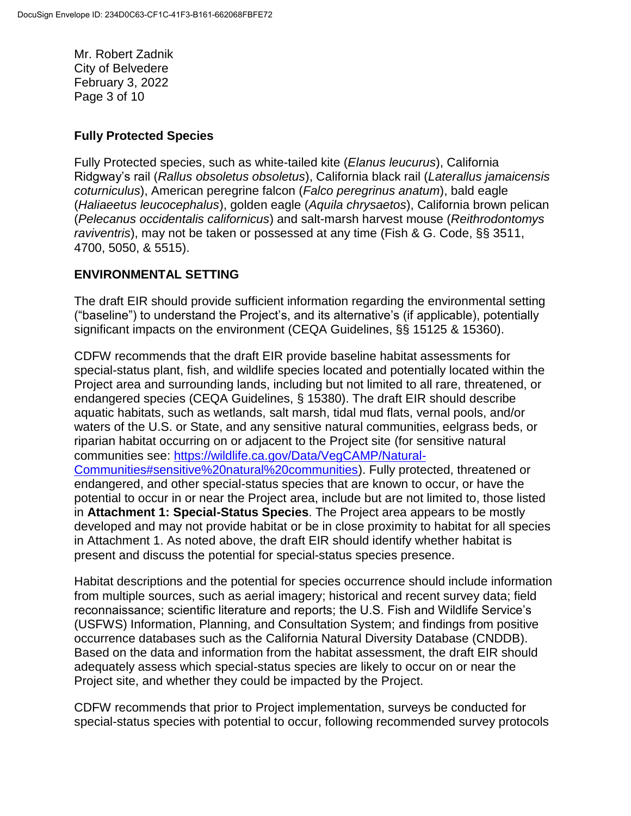Mr. Robert Zadnik City of Belvedere February 3, 2022 Page 3 of 10

#### **Fully Protected Species**

Fully Protected species, such as white-tailed kite (*Elanus leucurus*), California Ridgway's rail (*Rallus obsoletus obsoletus*), California black rail (*Laterallus jamaicensis coturniculus*), American peregrine falcon (*Falco peregrinus anatum*), bald eagle (*Haliaeetus leucocephalus*), golden eagle (*Aquila chrysaetos*), California brown pelican (*Pelecanus occidentalis californicus*) and salt-marsh harvest mouse (*Reithrodontomys raviventris*), may not be taken or possessed at any time (Fish & G. Code, §§ 3511, 4700, 5050, & 5515).

#### **ENVIRONMENTAL SETTING**

The draft EIR should provide sufficient information regarding the environmental setting ("baseline") to understand the Project's, and its alternative's (if applicable), potentially significant impacts on the environment (CEQA Guidelines, §§ 15125 & 15360).

CDFW recommends that the draft EIR provide baseline habitat assessments for special-status plant, fish, and wildlife species located and potentially located within the Project area and surrounding lands, including but not limited to all rare, threatened, or endangered species (CEQA Guidelines, § 15380). The draft EIR should describe aquatic habitats, such as wetlands, salt marsh, tidal mud flats, vernal pools, and/or waters of the U.S. or State, and any sensitive natural communities, eelgrass beds, or riparian habitat occurring on or adjacent to the Project site (for sensitive natural communities see: [https://wildlife.ca.gov/Data/VegCAMP/Natural-](https://wildlife.ca.gov/Data/VegCAMP/Natural-Communities#sensitive%20natural%20communities)[Communities#sensitive%20natural%20communities\)](https://wildlife.ca.gov/Data/VegCAMP/Natural-Communities#sensitive%20natural%20communities). Fully protected, threatened or endangered, and other special-status species that are known to occur, or have the potential to occur in or near the Project area, include but are not limited to, those listed in **Attachment 1: Special-Status Species**. The Project area appears to be mostly developed and may not provide habitat or be in close proximity to habitat for all species in Attachment 1. As noted above, the draft EIR should identify whether habitat is present and discuss the potential for special-status species presence.

Habitat descriptions and the potential for species occurrence should include information from multiple sources, such as aerial imagery; historical and recent survey data; field reconnaissance; scientific literature and reports; the U.S. Fish and Wildlife Service's (USFWS) Information, Planning, and Consultation System; and findings from positive occurrence databases such as the California Natural Diversity Database (CNDDB). Based on the data and information from the habitat assessment, the draft EIR should adequately assess which special-status species are likely to occur on or near the Project site, and whether they could be impacted by the Project.

CDFW recommends that prior to Project implementation, surveys be conducted for special-status species with potential to occur, following recommended survey protocols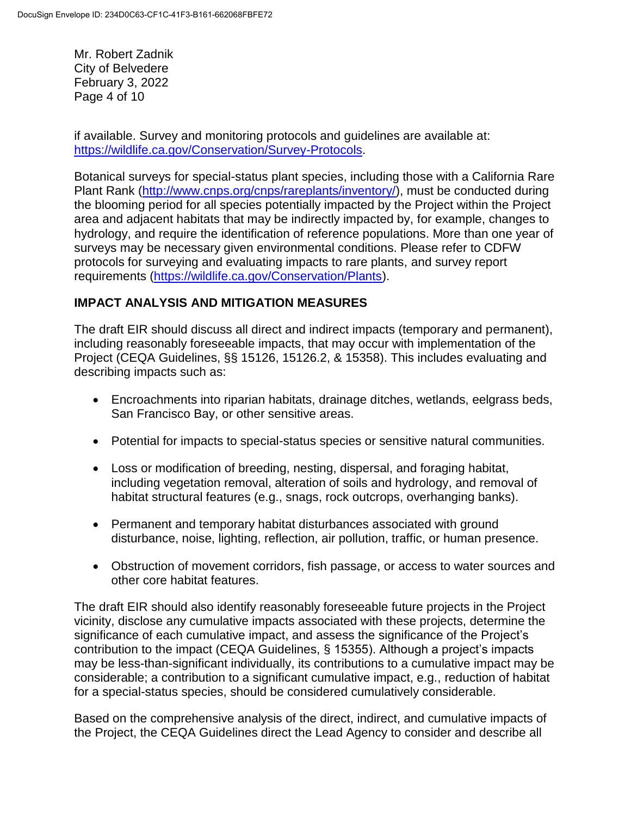Mr. Robert Zadnik City of Belvedere February 3, 2022 Page 4 of 10

if available. Survey and monitoring protocols and guidelines are available at: [https://wildlife.ca.gov/Conservation/Survey-Protocols.](https://wildlife.ca.gov/Conservation/Survey-Protocols)

Botanical surveys for special-status plant species, including those with a California Rare Plant Rank [\(http://www.cnps.org/cnps/rareplants/inventory/\)](http://www.cnps.org/cnps/rareplants/inventory/), must be conducted during the blooming period for all species potentially impacted by the Project within the Project area and adjacent habitats that may be indirectly impacted by, for example, changes to hydrology, and require the identification of reference populations. More than one year of surveys may be necessary given environmental conditions. Please refer to CDFW protocols for surveying and evaluating impacts to rare plants, and survey report requirements [\(https://wildlife.ca.gov/Conservation/Plants\)](https://wildlife.ca.gov/Conservation/Plants).

## **IMPACT ANALYSIS AND MITIGATION MEASURES**

The draft EIR should discuss all direct and indirect impacts (temporary and permanent), including reasonably foreseeable impacts, that may occur with implementation of the Project (CEQA Guidelines, §§ 15126, 15126.2, & 15358). This includes evaluating and describing impacts such as:

- Encroachments into riparian habitats, drainage ditches, wetlands, eelgrass beds, San Francisco Bay, or other sensitive areas.
- Potential for impacts to special-status species or sensitive natural communities.
- Loss or modification of breeding, nesting, dispersal, and foraging habitat, including vegetation removal, alteration of soils and hydrology, and removal of habitat structural features (e.g., snags, rock outcrops, overhanging banks).
- Permanent and temporary habitat disturbances associated with ground disturbance, noise, lighting, reflection, air pollution, traffic, or human presence.
- Obstruction of movement corridors, fish passage, or access to water sources and other core habitat features.

The draft EIR should also identify reasonably foreseeable future projects in the Project vicinity, disclose any cumulative impacts associated with these projects, determine the significance of each cumulative impact, and assess the significance of the Project's contribution to the impact (CEQA Guidelines, § 15355). Although a project's impacts may be less-than-significant individually, its contributions to a cumulative impact may be considerable; a contribution to a significant cumulative impact, e.g., reduction of habitat for a special-status species, should be considered cumulatively considerable.

Based on the comprehensive analysis of the direct, indirect, and cumulative impacts of the Project, the CEQA Guidelines direct the Lead Agency to consider and describe all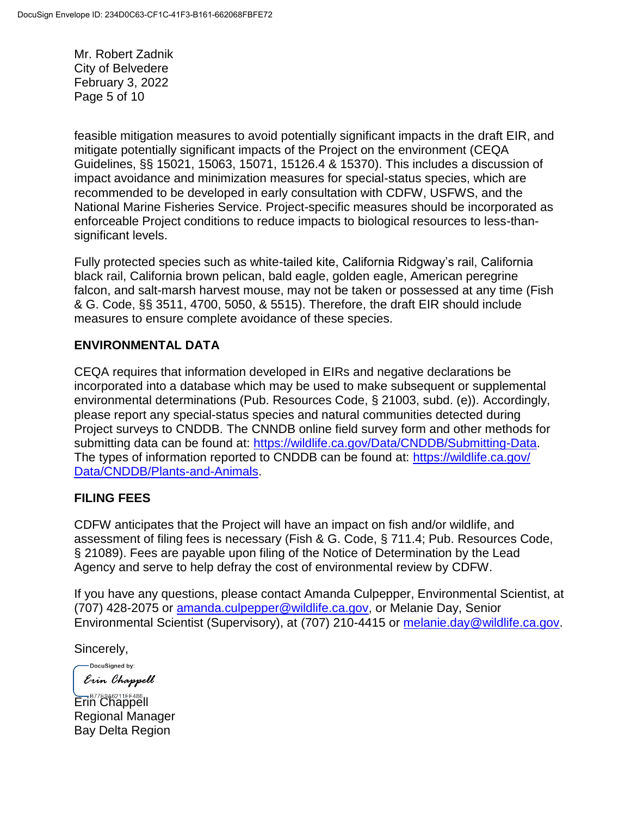Mr. Robert Zadnik City of Belvedere February 3, 2022 Page 5 of 10

feasible mitigation measures to avoid potentially significant impacts in the draft EIR, and mitigate potentially significant impacts of the Project on the environment (CEQA Guidelines, §§ 15021, 15063, 15071, 15126.4 & 15370). This includes a discussion of impact avoidance and minimization measures for special-status species, which are recommended to be developed in early consultation with CDFW, USFWS, and the National Marine Fisheries Service. Project-specific measures should be incorporated as enforceable Project conditions to reduce impacts to biological resources to less-thansignificant levels.

Fully protected species such as white-tailed kite, California Ridgway's rail, California black rail, California brown pelican, bald eagle, golden eagle, American peregrine falcon, and salt-marsh harvest mouse, may not be taken or possessed at any time (Fish & G. Code, §§ 3511, 4700, 5050, & 5515). Therefore, the draft EIR should include measures to ensure complete avoidance of these species.

## **ENVIRONMENTAL DATA**

CEQA requires that information developed in EIRs and negative declarations be incorporated into a database which may be used to make subsequent or supplemental environmental determinations (Pub. Resources Code, § 21003, subd. (e)). Accordingly, please report any special-status species and natural communities detected during Project surveys to CNDDB. The CNNDB online field survey form and other methods for submitting data can be found at: [https://wildlife.ca.gov/Data/CNDDB/Submitting-Data.](https://wildlife.ca.gov/Data/CNDDB/Submitting-Data) The types of information reported to CNDDB can be found at: [https://wildlife.ca.gov/](https://wildlife.ca.gov/Data/CNDDB/Plants-and-Animals) [Data/CNDDB/Plants-and-Animals.](https://wildlife.ca.gov/Data/CNDDB/Plants-and-Animals)

#### **FILING FEES**

CDFW anticipates that the Project will have an impact on fish and/or wildlife, and assessment of filing fees is necessary (Fish & G. Code, § 711.4; Pub. Resources Code, § 21089). Fees are payable upon filing of the Notice of Determination by the Lead Agency and serve to help defray the cost of environmental review by CDFW.

If you have any questions, please contact Amanda Culpepper, Environmental Scientist, at (707) 428-2075 or [amanda.culpepper@wildlife.ca.gov,](mailto:amanda.culpepper@wildlife.ca.gov) or Melanie Day, Senior Environmental Scientist (Supervisory), at (707) 210-4415 or [melanie.day@wildlife.ca.gov.](mailto:melanie.day@wildlife.ca.gov)

Sincerely,

-DocuSigned by: Erin Chappell

Erin Chappell Regional Manager Bay Delta Region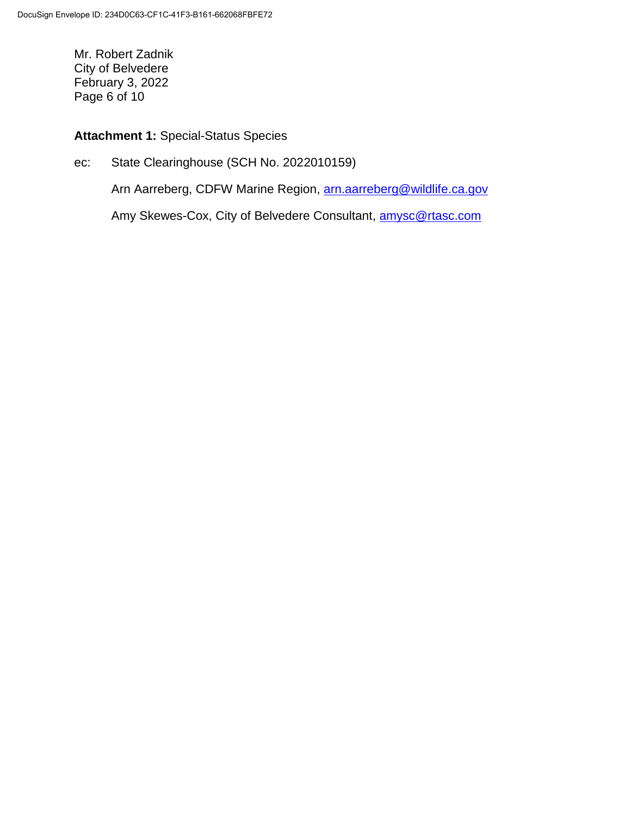Mr. Robert Zadnik City of Belvedere February 3, 2022 Page 6 of 10

## **Attachment 1:** Special-Status Species

ec: State Clearinghouse (SCH No. 2022010159)

Arn Aarreberg, CDFW Marine Region, [arn.aarreberg@wildlife.ca.gov](mailto:arn.aarreberg@wildlife.ca.gov)

Amy Skewes-Cox, City of Belvedere Consultant, amysc@rtasc.com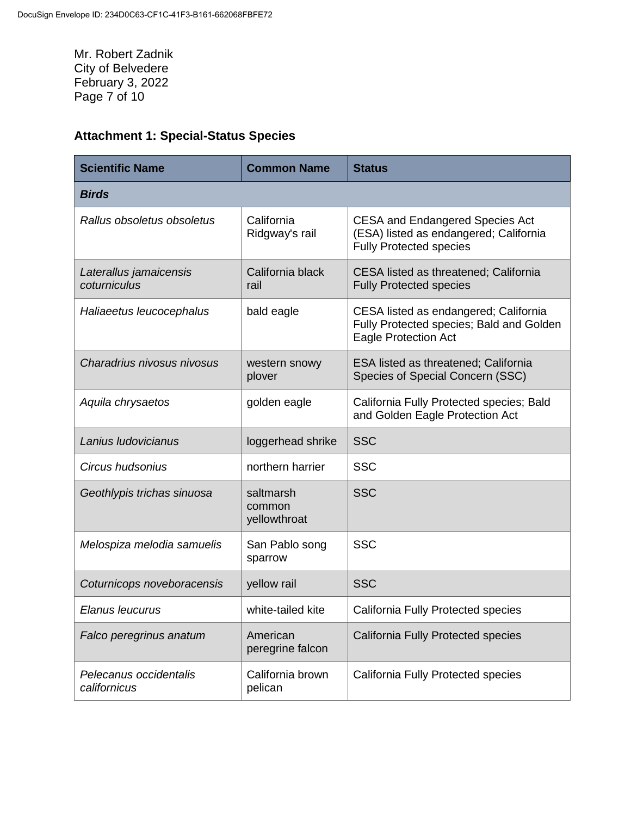Mr. Robert Zadnik City of Belvedere February 3, 2022 Page 7 of 10

# **Attachment 1: Special-Status Species**

| <b>Scientific Name</b>                 | <b>Common Name</b>                  | <b>Status</b>                                                                                                      |
|----------------------------------------|-------------------------------------|--------------------------------------------------------------------------------------------------------------------|
| <b>Birds</b>                           |                                     |                                                                                                                    |
| Rallus obsoletus obsoletus             | California<br>Ridgway's rail        | <b>CESA and Endangered Species Act</b><br>(ESA) listed as endangered; California<br><b>Fully Protected species</b> |
| Laterallus jamaicensis<br>coturniculus | California black<br>rail            | CESA listed as threatened; California<br><b>Fully Protected species</b>                                            |
| Haliaeetus leucocephalus               | bald eagle                          | CESA listed as endangered; California<br>Fully Protected species; Bald and Golden<br><b>Eagle Protection Act</b>   |
| Charadrius nivosus nivosus             | western snowy<br>plover             | <b>ESA listed as threatened; California</b><br>Species of Special Concern (SSC)                                    |
| Aquila chrysaetos                      | golden eagle                        | California Fully Protected species; Bald<br>and Golden Eagle Protection Act                                        |
| Lanius Iudovicianus                    | loggerhead shrike                   | <b>SSC</b>                                                                                                         |
| Circus hudsonius                       | northern harrier                    | <b>SSC</b>                                                                                                         |
| Geothlypis trichas sinuosa             | saltmarsh<br>common<br>yellowthroat | <b>SSC</b>                                                                                                         |
| Melospiza melodia samuelis             | San Pablo song<br>sparrow           | <b>SSC</b>                                                                                                         |
| Coturnicops noveboracensis             | yellow rail                         | <b>SSC</b>                                                                                                         |
| Elanus leucurus                        | white-tailed kite                   | <b>California Fully Protected species</b>                                                                          |
| Falco peregrinus anatum                | American<br>peregrine falcon        | <b>California Fully Protected species</b>                                                                          |
| Pelecanus occidentalis<br>californicus | California brown<br>pelican         | California Fully Protected species                                                                                 |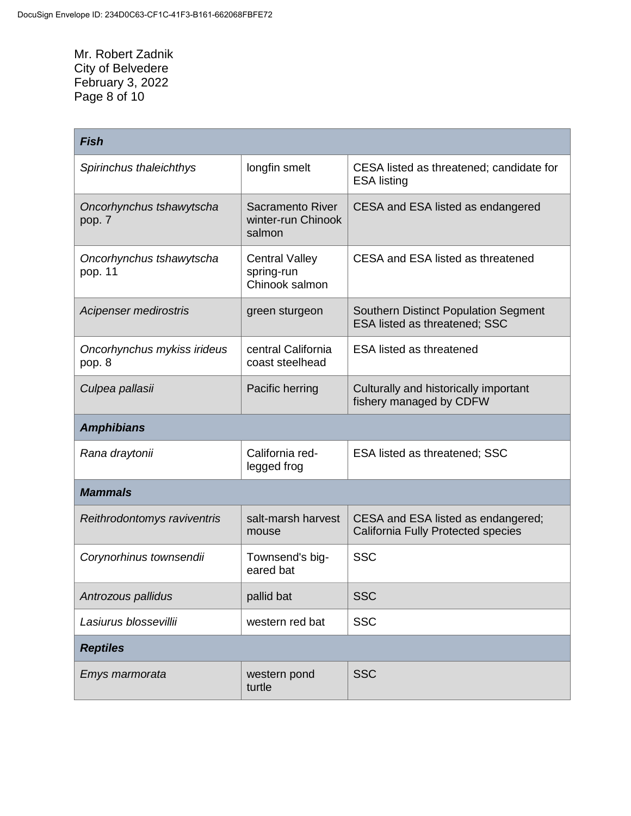Mr. Robert Zadnik City of Belvedere February 3, 2022 Page 8 of 10

| <b>Fish</b>                           |                                                         |                                                                              |  |  |
|---------------------------------------|---------------------------------------------------------|------------------------------------------------------------------------------|--|--|
| Spirinchus thaleichthys               | longfin smelt                                           | CESA listed as threatened; candidate for<br><b>ESA listing</b>               |  |  |
| Oncorhynchus tshawytscha<br>pop. 7    | <b>Sacramento River</b><br>winter-run Chinook<br>salmon | CESA and ESA listed as endangered                                            |  |  |
| Oncorhynchus tshawytscha<br>pop. 11   | <b>Central Valley</b><br>spring-run<br>Chinook salmon   | CESA and ESA listed as threatened                                            |  |  |
| Acipenser medirostris                 | green sturgeon                                          | <b>Southern Distinct Population Segment</b><br>ESA listed as threatened; SSC |  |  |
| Oncorhynchus mykiss irideus<br>pop. 8 | central California<br>coast steelhead                   | <b>ESA listed as threatened</b>                                              |  |  |
| Culpea pallasii                       | Pacific herring                                         | Culturally and historically important<br>fishery managed by CDFW             |  |  |
| <b>Amphibians</b>                     |                                                         |                                                                              |  |  |
| Rana draytonii                        | California red-<br>legged frog                          | <b>ESA listed as threatened; SSC</b>                                         |  |  |
| <b>Mammals</b>                        |                                                         |                                                                              |  |  |
| Reithrodontomys raviventris           | salt-marsh harvest<br>mouse                             | CESA and ESA listed as endangered;<br>California Fully Protected species     |  |  |
| Corynorhinus townsendii               | Townsend's big-<br>eared bat                            | <b>SSC</b>                                                                   |  |  |
| Antrozous pallidus                    | pallid bat                                              | SSC                                                                          |  |  |
| Lasiurus blossevillii                 | western red bat                                         | <b>SSC</b>                                                                   |  |  |
| <b>Reptiles</b>                       |                                                         |                                                                              |  |  |
| Emys marmorata                        | western pond<br>turtle                                  | <b>SSC</b>                                                                   |  |  |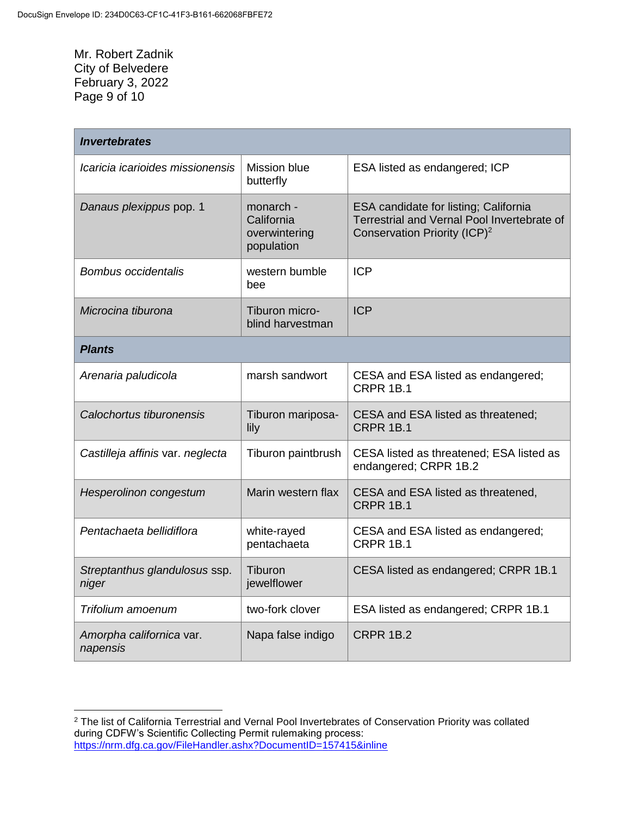Mr. Robert Zadnik City of Belvedere February 3, 2022 Page 9 of 10

 $\overline{a}$ 

| <b>Invertebrates</b>                   |                                                        |                                                                                                                                  |  |  |
|----------------------------------------|--------------------------------------------------------|----------------------------------------------------------------------------------------------------------------------------------|--|--|
| Icaricia icarioides missionensis       | Mission blue<br>butterfly                              | ESA listed as endangered; ICP                                                                                                    |  |  |
| Danaus plexippus pop. 1                | monarch -<br>California<br>overwintering<br>population | ESA candidate for listing; California<br>Terrestrial and Vernal Pool Invertebrate of<br>Conservation Priority (ICP) <sup>2</sup> |  |  |
| <b>Bombus occidentalis</b>             | western bumble<br>bee                                  | <b>ICP</b>                                                                                                                       |  |  |
| Microcina tiburona                     | Tiburon micro-<br>blind harvestman                     | <b>ICP</b>                                                                                                                       |  |  |
| <b>Plants</b>                          |                                                        |                                                                                                                                  |  |  |
| Arenaria paludicola                    | marsh sandwort                                         | CESA and ESA listed as endangered;<br><b>CRPR 1B.1</b>                                                                           |  |  |
| Calochortus tiburonensis               | Tiburon mariposa-<br>lily                              | CESA and ESA listed as threatened;<br><b>CRPR 1B.1</b>                                                                           |  |  |
| Castilleja affinis var. neglecta       | Tiburon paintbrush                                     | CESA listed as threatened; ESA listed as<br>endangered; CRPR 1B.2                                                                |  |  |
| Hesperolinon congestum                 | Marin western flax                                     | CESA and ESA listed as threatened,<br><b>CRPR 1B.1</b>                                                                           |  |  |
| Pentachaeta bellidiflora               | white-rayed<br>pentachaeta                             | CESA and ESA listed as endangered;<br><b>CRPR 1B.1</b>                                                                           |  |  |
| Streptanthus glandulosus ssp.<br>niger | Tiburon<br>jewelflower                                 | CESA listed as endangered; CRPR 1B.1                                                                                             |  |  |
| Trifolium amoenum                      | two-fork clover                                        | ESA listed as endangered; CRPR 1B.1                                                                                              |  |  |
| Amorpha californica var.<br>napensis   | Napa false indigo                                      | <b>CRPR 1B.2</b>                                                                                                                 |  |  |

<sup>&</sup>lt;sup>2</sup> The list of California Terrestrial and Vernal Pool Invertebrates of Conservation Priority was collated during CDFW's Scientific Collecting Permit rulemaking process: <https://nrm.dfg.ca.gov/FileHandler.ashx?DocumentID=157415&inline>